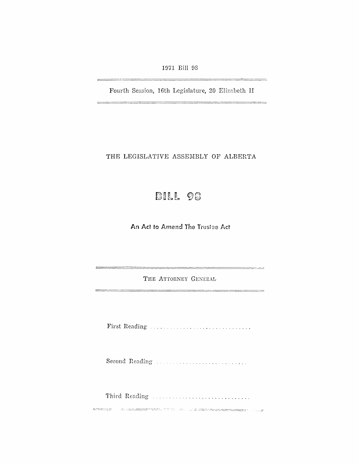1971 Bill 98

Fourth Session, 16th Legislature, 20 Elizabeth II

\_\_\_\_\_\_\_\_\_\_\_\_\_\_\_\_\_

\_\_\_\_\_\_\_\_\_\_

THE LEGISLATIVE ASSEMBLY OF ALBERTA

# BILL 98

An Act to Amend The Trustee Act

THE ATTORNEY GENERAL

Second Reading .................................

Third Reading ...................................

<u> Exemplo - Martin Perri Star an de Barrant de Britannia (</u> 1922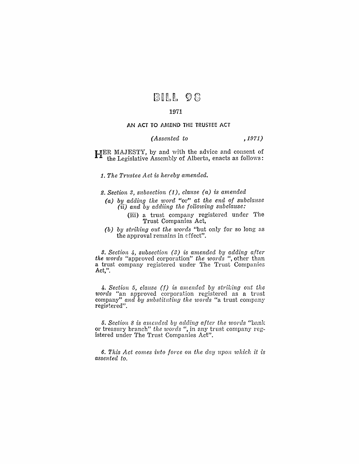## BILL 98

#### 1971

AN ACT TO AMEND THE TRUSTEE ACT

### *(Assented to* ,1971)

HER l\1AJESTY, by and with the advice and consent of the Legislative Assembly of Alberta, enacts as follows:

*1. The Trustee Act is hereby amended.* 

**2.** Section 3, subsection (1), clause (a) is amended

- *(a) by add'ing the word* "or" *at the end of subclause*  (ii) *and by addiing the following subclause:* 
	- (iii) a trust company registered under The Trust Companies Act,
- *(b) by striking out the words* "but only for so long as the approval remains in effect".

**3.** Section 4, subsection (3) is amended by adding after *the words* "approved corporation" *the words* ", other than a trust company registered under The Trust Companies Act,".

4. Section 5, *clause* (f) is amended by striking out the *words* "an approved corporation registered as a trust company" and by substituting the words "a trust company registered".

*5. Section* 8 *is amended by adding after the words* "bank or treasury branch" *the words* ", in any trust company registered under The Trust Companies Act".

**6.** This Act comes into force on the day upon which it is *assented to.*